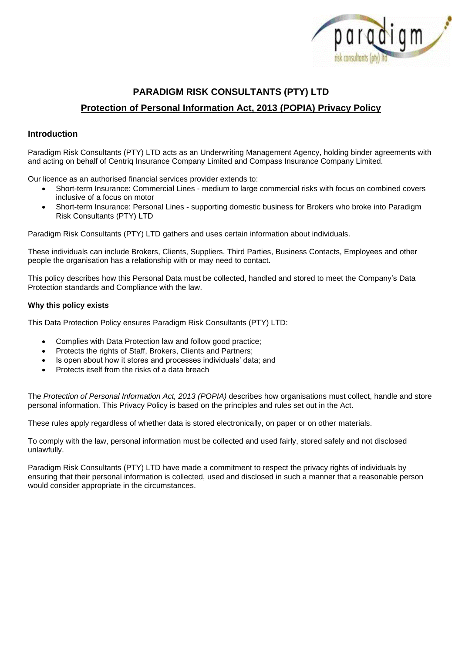

# **PARADIGM RISK CONSULTANTS (PTY) LTD Protection of Personal Information Act, 2013 (POPIA) Privacy Policy**

# **Introduction**

Paradigm Risk Consultants (PTY) LTD acts as an Underwriting Management Agency, holding binder agreements with and acting on behalf of Centriq Insurance Company Limited and Compass Insurance Company Limited.

Our licence as an authorised financial services provider extends to:

- Short-term Insurance: Commercial Lines medium to large commercial risks with focus on combined covers inclusive of a focus on motor
- Short-term Insurance: Personal Lines supporting domestic business for Brokers who broke into Paradigm Risk Consultants (PTY) LTD

Paradigm Risk Consultants (PTY) LTD gathers and uses certain information about individuals.

These individuals can include Brokers, Clients, Suppliers, Third Parties, Business Contacts, Employees and other people the organisation has a relationship with or may need to contact.

This policy describes how this Personal Data must be collected, handled and stored to meet the Company's Data Protection standards and Compliance with the law.

### **Why this policy exists**

This Data Protection Policy ensures Paradigm Risk Consultants (PTY) LTD:

- Complies with Data Protection law and follow good practice;
- Protects the rights of Staff, Brokers, Clients and Partners;
- Is open about how it stores and processes individuals' data; and
- Protects itself from the risks of a data breach

The *Protection of Personal Information Act, 2013 (POPIA)* describes how organisations must collect, handle and store personal information. This Privacy Policy is based on the principles and rules set out in the Act.

These rules apply regardless of whether data is stored electronically, on paper or on other materials.

To comply with the law, personal information must be collected and used fairly, stored safely and not disclosed unlawfully.

Paradigm Risk Consultants (PTY) LTD have made a commitment to respect the privacy rights of individuals by ensuring that their personal information is collected, used and disclosed in such a manner that a reasonable person would consider appropriate in the circumstances.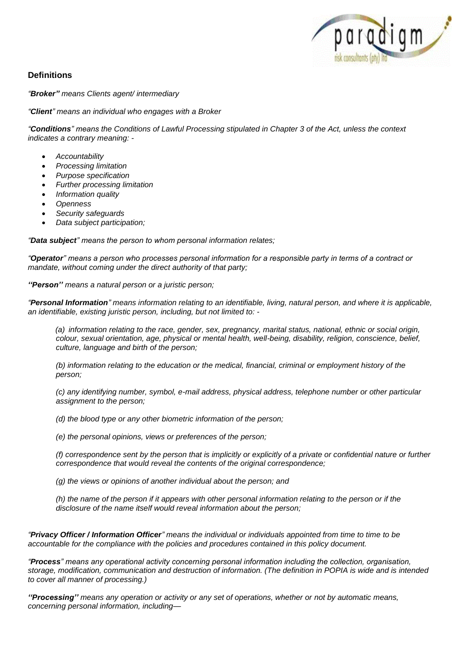

# **Definitions**

*"Broker" means Clients agent/ intermediary*

*"Client" means an individual who engages with a Broker*

*"Conditions" means the Conditions of Lawful Processing stipulated in Chapter 3 of the Act, unless the context indicates a contrary meaning: -*

- *Accountability*
- *Processing limitation*
- *Purpose specification*
- *Further processing limitation*
- *Information quality*
- *Openness*
- *Security safeguards*
- *Data subject participation;*

*"Data subject" means the person to whom personal information relates;*

*"Operator" means a person who processes personal information for a responsible party in terms of a contract or mandate, without coming under the direct authority of that party;*

*''Person'' means a natural person or a juristic person;*

*"Personal Information" means information relating to an identifiable, living, natural person, and where it is applicable, an identifiable, existing juristic person, including, but not limited to: -*

*(a) information relating to the race, gender, sex, pregnancy, marital status, national, ethnic or social origin, colour, sexual orientation, age, physical or mental health, well-being, disability, religion, conscience, belief, culture, language and birth of the person;*

*(b) information relating to the education or the medical, financial, criminal or employment history of the person;*

*(c) any identifying number, symbol, e-mail address, physical address, telephone number or other particular assignment to the person;*

*(d) the blood type or any other biometric information of the person;*

*(e) the personal opinions, views or preferences of the person;*

*(f) correspondence sent by the person that is implicitly or explicitly of a private or confidential nature or further correspondence that would reveal the contents of the original correspondence;*

*(g) the views or opinions of another individual about the person; and*

*(h) the name of the person if it appears with other personal information relating to the person or if the disclosure of the name itself would reveal information about the person;*

*"Privacy Officer / Information Officer" means the individual or individuals appointed from time to time to be accountable for the compliance with the policies and procedures contained in this policy document.*

*"Process" means any operational activity concerning personal information including the collection, organisation, storage, modification, communication and destruction of information. (The definition in POPIA is wide and is intended to cover all manner of processing.)*

*''Processing'' means any operation or activity or any set of operations, whether or not by automatic means, concerning personal information, including—*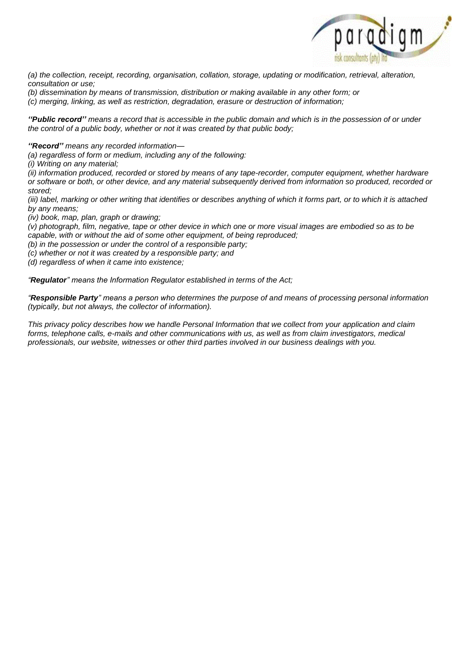

*(a) the collection, receipt, recording, organisation, collation, storage, updating or modification, retrieval, alteration, consultation or use;*

- *(b) dissemination by means of transmission, distribution or making available in any other form; or*
- *(c) merging, linking, as well as restriction, degradation, erasure or destruction of information;*

*''Public record'' means a record that is accessible in the public domain and which is in the possession of or under the control of a public body, whether or not it was created by that public body;*

*''Record'' means any recorded information—*

*(a) regardless of form or medium, including any of the following:*

*(i) Writing on any material;*

*(ii) information produced, recorded or stored by means of any tape-recorder, computer equipment, whether hardware or software or both, or other device, and any material subsequently derived from information so produced, recorded or stored;*

*(iii) label, marking or other writing that identifies or describes anything of which it forms part, or to which it is attached by any means;*

*(iv) book, map, plan, graph or drawing;*

*(v) photograph, film, negative, tape or other device in which one or more visual images are embodied so as to be capable, with or without the aid of some other equipment, of being reproduced;*

*(b) in the possession or under the control of a responsible party;*

*(c) whether or not it was created by a responsible party; and*

*(d) regardless of when it came into existence;*

*"Regulator" means the Information Regulator established in terms of the Act;*

*"Responsible Party" means a person who determines the purpose of and means of processing personal information (typically, but not always, the collector of information).*

*This privacy policy describes how we handle Personal Information that we collect from your application and claim forms, telephone calls, e-mails and other communications with us, as well as from claim investigators, medical professionals, our website, witnesses or other third parties involved in our business dealings with you.*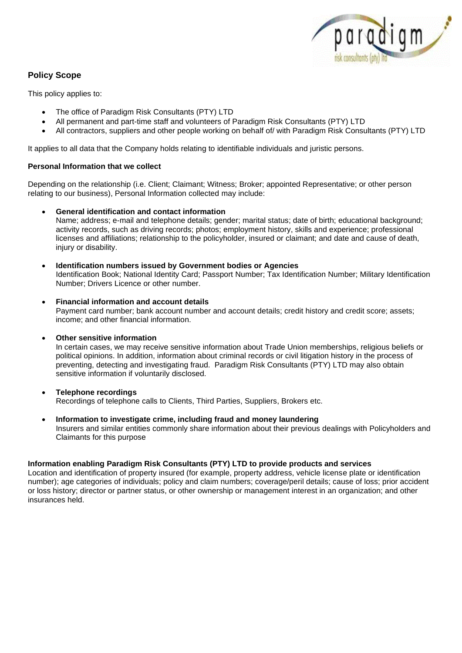

# **Policy Scope**

This policy applies to:

- The office of Paradigm Risk Consultants (PTY) LTD
- All permanent and part-time staff and volunteers of Paradigm Risk Consultants (PTY) LTD
- All contractors, suppliers and other people working on behalf of/ with Paradigm Risk Consultants (PTY) LTD

It applies to all data that the Company holds relating to identifiable individuals and juristic persons.

# **[Personal Information that we collect](https://www.aig.co.za/privacy-policy#accordion-child_pr_cr_cr_accordion_2)**

Depending on the relationship (i.e. Client; Claimant; Witness; Broker; appointed Representative; or other person relating to our business), Personal Information collected may include:

# • **General identification and contact information**

Name; address; e-mail and telephone details; gender; marital status; date of birth; educational background; activity records, such as driving records; photos; employment history, skills and experience; professional licenses and affiliations; relationship to the policyholder, insured or claimant; and date and cause of death, injury or disability.

- **Identification numbers issued by Government bodies or Agencies** Identification Book; National Identity Card; Passport Number; Tax Identification Number; Military Identification Number; Drivers Licence or other number.
- **Financial information and account details** Payment card number; bank account number and account details; credit history and credit score; assets; income; and other financial information.

# • **Other sensitive information**

In certain cases, we may receive sensitive information about Trade Union memberships, religious beliefs or political opinions. In addition, information about criminal records or civil litigation history in the process of preventing, detecting and investigating fraud. Paradigm Risk Consultants (PTY) LTD may also obtain sensitive information if voluntarily disclosed.

- **Telephone recordings** Recordings of telephone calls to Clients, Third Parties, Suppliers, Brokers etc.
- **Information to investigate crime, including fraud and money laundering** Insurers and similar entities commonly share information about their previous dealings with Policyholders and Claimants for this purpose

# **Information enabling Paradigm Risk Consultants (PTY) LTD to provide products and services**

Location and identification of property insured (for example, property address, vehicle license plate or identification number); age categories of individuals; policy and claim numbers; coverage/peril details; cause of loss; prior accident or loss history; director or partner status, or other ownership or management interest in an organization; and other insurances held.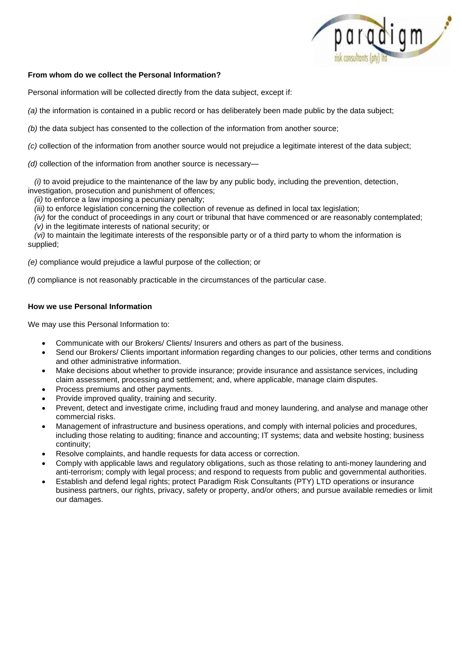

### **[From whom do we collect the Personal Information?](https://www.aig.co.za/privacy-policy#accordion-child_pr_cr_cr_accordion_3)**

Personal information will be collected directly from the data subject, except if:

*(a)* the information is contained in a public record or has deliberately been made public by the data subject;

*(b)* the data subject has consented to the collection of the information from another source;

*(c)* collection of the information from another source would not prejudice a legitimate interest of the data subject;

*(d)* collection of the information from another source is necessary—

 *(i)* to avoid prejudice to the maintenance of the law by any public body, including the prevention, detection, investigation, prosecution and punishment of offences;

*(ii)* to enforce a law imposing a pecuniary penalty;

*(iii)* to enforce legislation concerning the collection of revenue as defined in local tax legislation;

*(iv)* for the conduct of proceedings in any court or tribunal that have commenced or are reasonably contemplated;

*(v)* in the legitimate interests of national security; or

 *(vi)* to maintain the legitimate interests of the responsible party or of a third party to whom the information is supplied;

*(e)* compliance would prejudice a lawful purpose of the collection; or

*(f)* compliance is not reasonably practicable in the circumstances of the particular case.

### **[How we use Personal Information](https://www.aig.co.za/privacy-policy#accordion-child_pr_cr_cr_accordion_4)**

We may use this Personal Information to:

- Communicate with our Brokers/ Clients/ Insurers and others as part of the business.
- Send our Brokers/ Clients important information regarding changes to our policies, other terms and conditions and other administrative information.
- Make decisions about whether to provide insurance; provide insurance and assistance services, including claim assessment, processing and settlement; and, where applicable, manage claim disputes.
- Process premiums and other payments.
- Provide improved quality, training and security.
- Prevent, detect and investigate crime, including fraud and money laundering, and analyse and manage other commercial risks.
- Management of infrastructure and business operations, and comply with internal policies and procedures, including those relating to auditing; finance and accounting; IT systems; data and website hosting; business continuity;
- Resolve complaints, and handle requests for data access or correction.
- Comply with applicable laws and regulatory obligations, such as those relating to anti-money laundering and anti-terrorism; comply with legal process; and respond to requests from public and governmental authorities.
- Establish and defend legal rights; protect Paradigm Risk Consultants (PTY) LTD operations or insurance business partners, our rights, privacy, safety or property, and/or others; and pursue available remedies or limit our damages.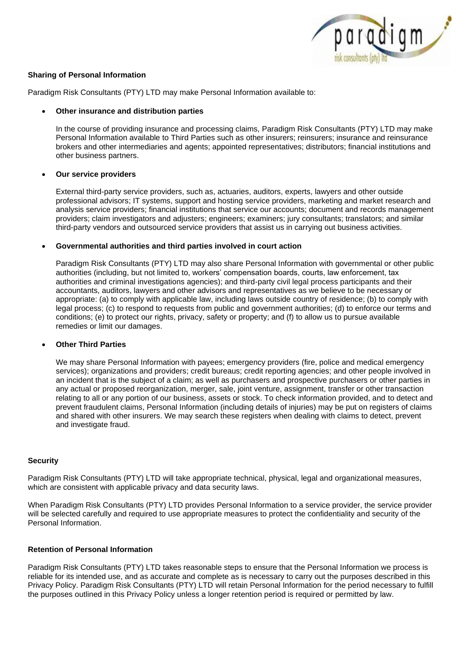

### **[Sharing of Personal Information](https://www.aig.co.za/privacy-policy#accordion-child_pr_cr_cr_accordion_6)**

Paradigm Risk Consultants (PTY) LTD may make Personal Information available to:

#### • **Other insurance and distribution parties**

In the course of providing insurance and processing claims, Paradigm Risk Consultants (PTY) LTD may make Personal Information available to Third Parties such as other insurers; reinsurers; insurance and reinsurance brokers and other intermediaries and agents; appointed representatives; distributors; financial institutions and other business partners.

#### • **Our service providers**

External third-party service providers, such as, actuaries, auditors, experts, lawyers and other outside professional advisors; IT systems, support and hosting service providers, marketing and market research and analysis service providers; financial institutions that service our accounts; document and records management providers; claim investigators and adjusters; engineers; examiners; jury consultants; translators; and similar third-party vendors and outsourced service providers that assist us in carrying out business activities.

#### • **Governmental authorities and third parties involved in court action**

Paradigm Risk Consultants (PTY) LTD may also share Personal Information with governmental or other public authorities (including, but not limited to, workers' compensation boards, courts, law enforcement, tax authorities and criminal investigations agencies); and third-party civil legal process participants and their accountants, auditors, lawyers and other advisors and representatives as we believe to be necessary or appropriate: (a) to comply with applicable law, including laws outside country of residence; (b) to comply with legal process; (c) to respond to requests from public and government authorities; (d) to enforce our terms and conditions; (e) to protect our rights, privacy, safety or property; and (f) to allow us to pursue available remedies or limit our damages.

### • **Other Third Parties**

We may share Personal Information with payees; emergency providers (fire, police and medical emergency services); organizations and providers; credit bureaus; credit reporting agencies; and other people involved in an incident that is the subject of a claim; as well as purchasers and prospective purchasers or other parties in any actual or proposed reorganization, merger, sale, joint venture, assignment, transfer or other transaction relating to all or any portion of our business, assets or stock. To check information provided, and to detect and prevent fraudulent claims, Personal Information (including details of injuries) may be put on registers of claims and shared with other insurers. We may search these registers when dealing with claims to detect, prevent and investigate fraud.

#### **[Security](https://www.aig.co.za/privacy-policy#accordion-child_pr_cr_cr_accordion_7)**

Paradigm Risk Consultants (PTY) LTD will take appropriate technical, physical, legal and organizational measures, which are consistent with applicable privacy and data security laws.

When Paradigm Risk Consultants (PTY) LTD provides Personal Information to a service provider, the service provider will be selected carefully and required to use appropriate measures to protect the confidentiality and security of the Personal Information.

### **[Retention of Personal Information](https://www.aig.co.za/privacy-policy#accordion-child_pr_cr_cr_accordion_8)**

Paradigm Risk Consultants (PTY) LTD takes reasonable steps to ensure that the Personal Information we process is reliable for its intended use, and as accurate and complete as is necessary to carry out the purposes described in this Privacy Policy. Paradigm Risk Consultants (PTY) LTD will retain Personal Information for the period necessary to fulfill the purposes outlined in this Privacy Policy unless a longer retention period is required or permitted by law.